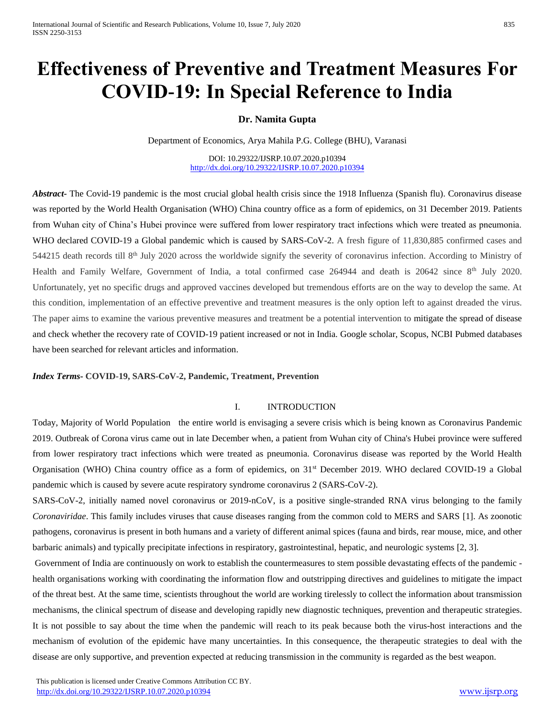# **Effectiveness of Preventive and Treatment Measures For COVID-19: In Special Reference to India**

## **Dr. Namita Gupta**

Department of Economics, Arya Mahila P.G. College (BHU), Varanasi

DOI: 10.29322/IJSRP.10.07.2020.p10394 <http://dx.doi.org/10.29322/IJSRP.10.07.2020.p10394>

*Abstract-* The Covid-19 pandemic is the most crucial global health crisis since the 1918 Influenza (Spanish flu). Coronavirus disease was reported by the World Health Organisation (WHO) China country office as a form of epidemics, on 31 December 2019. Patients from Wuhan city of China's Hubei province were suffered from lower respiratory tract infections which were treated as pneumonia. WHO declared COVID-19 a Global pandemic which is caused by SARS-CoV-2. A fresh figure of 11,830,885 confirmed cases and 544215 death records till  $8<sup>th</sup>$  July 2020 across the worldwide signify the severity of coronavirus infection. According to Ministry of Health and Family Welfare, Government of India, a total confirmed case 264944 and death is 20642 since  $8<sup>th</sup>$  July 2020. Unfortunately, yet no specific drugs and approved vaccines developed but tremendous efforts are on the way to develop the same. At this condition, implementation of an effective preventive and treatment measures is the only option left to against dreaded the virus. The paper aims to examine the various preventive measures and treatment be a potential intervention to mitigate the spread of disease and check whether the recovery rate of COVID-19 patient increased or not in India. Google scholar, Scopus, NCBI Pubmed databases have been searched for relevant articles and information.

#### *Index Terms***- COVID-19, SARS-CoV-2, Pandemic, Treatment, Prevention**

#### I. INTRODUCTION

Today, Majority of World Population the entire world is envisaging a severe crisis which is being known as Coronavirus Pandemic 2019. Outbreak of Corona virus came out in late December when, a patient from Wuhan city of China's Hubei province were suffered from lower respiratory tract infections which were treated as pneumonia. Coronavirus disease was reported by the World Health Organisation (WHO) China country office as a form of epidemics, on 31st December 2019. WHO declared COVID-19 a Global pandemic which is caused by severe acute respiratory syndrome coronavirus 2 (SARS-CoV-2).

SARS-CoV-2, initially named novel coronavirus or 2019-nCoV, is a positive single-stranded RNA virus belonging to the family *Coronaviridae*. This family includes viruses that cause diseases ranging from the common cold to MERS and SARS [1]. As zoonotic pathogens, coronavirus is present in both humans and a variety of different animal spices (fauna and birds, rear mouse, mice, and other barbaric animals) and typically precipitate infections in respiratory, gastrointestinal, hepatic, and neurologic systems [2, 3].

Government of India are continuously on work to establish the countermeasures to stem possible devastating effects of the pandemic health organisations working with coordinating the information flow and outstripping directives and guidelines to mitigate the impact of the threat best. At the same time, scientists throughout the world are working tirelessly to collect the information about transmission mechanisms, the clinical spectrum of disease and developing rapidly new diagnostic techniques, prevention and therapeutic strategies. It is not possible to say about the time when the pandemic will reach to its peak because both the virus-host interactions and the mechanism of evolution of the epidemic have many uncertainties. In this consequence, the therapeutic strategies to deal with the disease are only supportive, and prevention expected at reducing transmission in the community is regarded as the best weapon.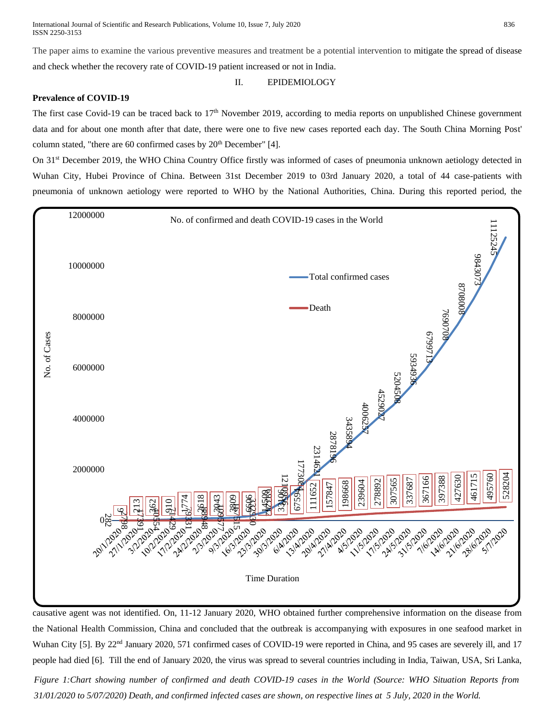International Journal of Scientific and Research Publications, Volume 10, Issue 7, July 2020 836 ISSN 2250-3153

The paper aims to examine the various preventive measures and treatment be a potential intervention to mitigate the spread of disease and check whether the recovery rate of COVID-19 patient increased or not in India.

II. EPIDEMIOLOGY

#### **Prevalence of COVID-19**

The first case Covid-19 can be traced back to  $17<sup>th</sup>$  November 2019, according to media reports on unpublished Chinese government data and for about one month after that date, there were one to five new cases reported each day. The South China Morning Post' column stated, "there are 60 confirmed cases by  $20<sup>th</sup>$  December" [4].

On 31st December 2019, the WHO China Country Office firstly was informed of cases of pneumonia unknown aetiology detected in Wuhan City, Hubei Province of China. Between 31st December 2019 to 03rd January 2020, a total of 44 case-patients with pneumonia of unknown aetiology were reported to WHO by the National Authorities, China. During this reported period, the



causative agent was not identified. On, 11-12 January 2020, WHO obtained further comprehensive information on the disease from the National Health Commission, China and concluded that the outbreak is accompanying with exposures in one seafood market in Wuhan City [5]. By 22<sup>nd</sup> January 2020, 571 confirmed cases of COVID-19 were reported in China, and 95 cases are severely ill, and 17 people had died [6]. Till the end of January 2020, the virus was spread to several countries including in India, Taiwan, USA, Sri Lanka,

Figure 1:Chart showing number of confirmed and death COVID-19 cases in the World (Source: WHO Situation Reports from *31/01/2020 to 5/07/2020) Death, and confirmed infected cases are shown, on respective lines at 5 July, 2020 in the World.*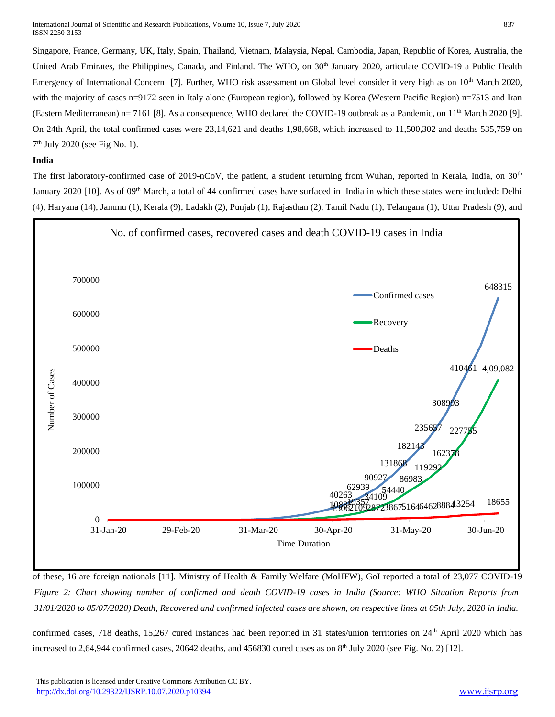International Journal of Scientific and Research Publications, Volume 10, Issue 7, July 2020 837 ISSN 2250-3153

Singapore, France, Germany, UK, Italy, Spain, Thailand, Vietnam, Malaysia, Nepal, Cambodia, Japan, Republic of Korea, Australia, the United Arab Emirates, the Philippines, Canada, and Finland. The WHO, on 30<sup>th</sup> January 2020, articulate COVID-19 a Public Health Emergency of International Concern [7]. Further, WHO risk assessment on Global level consider it very high as on 10<sup>th</sup> March 2020, with the majority of cases n=9172 seen in Italy alone (European region), followed by Korea (Western Pacific Region) n=7513 and Iran (Eastern Mediterranean) n= 7161 [8]. As a consequence, WHO declared the COVID-19 outbreak as a Pandemic, on  $11<sup>th</sup>$  March 2020 [9]. On 24th April, the total confirmed cases were 23,14,621 and deaths 1,98,668, which increased to 11,500,302 and deaths 535,759 on 7 th July 2020 (see Fig No. 1).

#### **India**

The first laboratory-confirmed case of 2019-nCoV, the patient, a student returning from Wuhan, reported in Kerala, India, on  $30<sup>th</sup>$ January 2020 [10]. As of 09<sup>th</sup> March, a total of 44 confirmed cases have surfaced in India in which these states were included: Delhi (4), Haryana (14), Jammu (1), Kerala (9), Ladakh (2), Punjab (1), Rajasthan (2), Tamil Nadu (1), Telangana (1), Uttar Pradesh (9), and



of these, 16 are foreign nationals [11]. Ministry of Health & Family Welfare (MoHFW), GoI reported a total of 23,077 COVID-19 *Figure 2: Chart showing number of confirmed and death COVID-19 cases in India (Source: WHO Situation Reports from 31/01/2020 to 05/07/2020) Death, Recovered and confirmed infected cases are shown, on respective lines at 05th July, 2020 in India.*

confirmed cases, 718 deaths, 15,267 cured instances had been reported in 31 states/union territories on 24<sup>th</sup> April 2020 which has increased to 2,64,944 confirmed cases, 20642 deaths, and 456830 cured cases as on  $8<sup>th</sup>$  July 2020 (see Fig. No. 2) [12].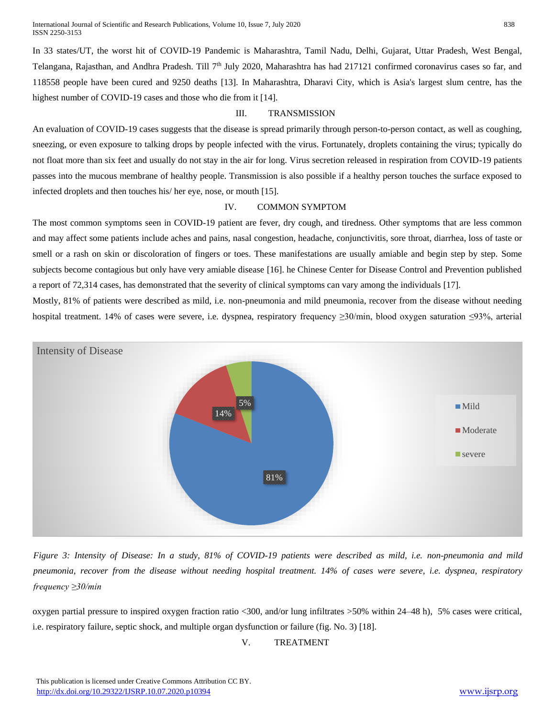International Journal of Scientific and Research Publications, Volume 10, Issue 7, July 2020 838 ISSN 2250-3153

In 33 states/UT, the worst hit of COVID-19 Pandemic is Maharashtra, Tamil Nadu, Delhi, Gujarat, Uttar Pradesh, West Bengal, Telangana, Rajasthan, and Andhra Pradesh. Till  $7<sup>th</sup>$  July 2020, Maharashtra has had 217121 confirmed coronavirus cases so far, and 118558 people have been cured and 9250 deaths [13]. In Maharashtra, Dharavi City, which is Asia's largest slum centre, has the highest number of COVID-19 cases and those who die from it [14].

#### III. TRANSMISSION

An evaluation of COVID-19 cases suggests that the disease is spread primarily through person-to-person contact, as well as coughing, sneezing, or even exposure to talking drops by people infected with the virus. Fortunately, droplets containing the virus; typically do not float more than six feet and usually do not stay in the air for long. Virus secretion released in respiration from COVID-19 patients passes into the mucous membrane of healthy people. Transmission is also possible if a healthy person touches the surface exposed to infected droplets and then touches his/ her eye, nose, or mouth [15].

#### IV. COMMON SYMPTOM

The most common symptoms seen in COVID-19 patient are fever, dry cough, and tiredness. Other symptoms that are less common and may affect some patients include aches and pains, nasal congestion, headache, conjunctivitis, sore throat, diarrhea, loss of taste or smell or a rash on skin or discoloration of fingers or toes. These manifestations are usually amiable and begin step by step. Some subjects become contagious but only have very amiable disease [16]. he Chinese Center for Disease Control and Prevention published a report of 72,314 cases, has demonstrated that the severity of clinical symptoms can vary among the individuals [17].

Mostly, 81% of patients were described as mild, i.e. non-pneumonia and mild pneumonia, recover from the disease without needing hospital treatment. 14% of cases were severe, i.e. dyspnea, respiratory frequency ≥30/min, blood oxygen saturation ≤93%, arterial



*Figure 3: Intensity of Disease: In a study, 81% of COVID-19 patients were described as mild, i.e. non-pneumonia and mild pneumonia, recover from the disease without needing hospital treatment. 14% of cases were severe, i.e. dyspnea, respiratory frequency ≥30/min*

oxygen partial pressure to inspired oxygen fraction ratio <300, and/or lung infiltrates >50% within 24–48 h), 5% cases were critical, i.e. respiratory failure, septic shock, and multiple organ dysfunction or failure (fig. No. 3) [18].

#### V. TREATMENT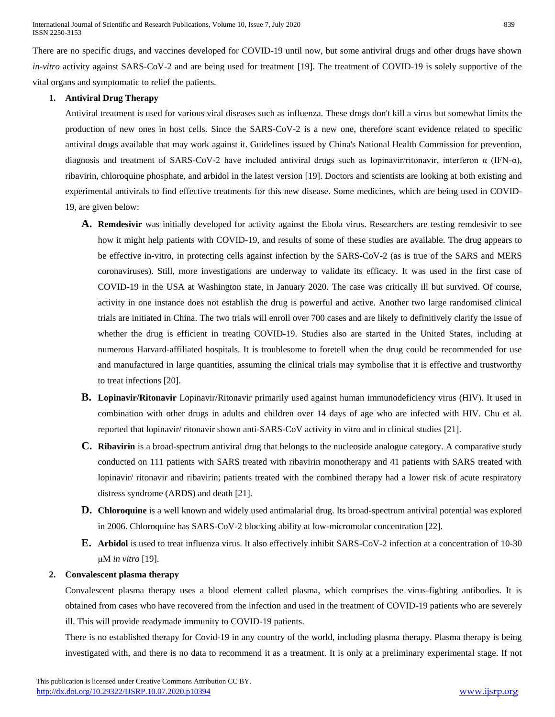There are no specific drugs, and vaccines developed for COVID-19 until now, but some antiviral drugs and other drugs have shown *in-vitro* activity against SARS-CoV-2 and are being used for treatment [19]. The treatment of COVID-19 is solely supportive of the vital organs and symptomatic to relief the patients.

## **1. Antiviral Drug Therapy**

Antiviral treatment is used for various viral diseases such as influenza. These drugs don't kill a virus but somewhat limits the production of new ones in host cells. Since the SARS-CoV-2 is a new one, therefore scant evidence related to specific antiviral drugs available that may work against it. Guidelines issued by China's National Health Commission for prevention, diagnosis and treatment of SARS-CoV-2 have included antiviral drugs such as lopinavir/ritonavir, interferon α (IFN-α), ribavirin, chloroquine phosphate, and arbidol in the latest version [19]. Doctors and scientists are looking at both existing and experimental antivirals to find effective treatments for this new disease. Some medicines, which are being used in COVID-19, are given below:

- **A. Remdesivir** was initially developed for activity against the Ebola virus. Researchers are testing remdesivir to see how it might help patients with COVID-19, and results of some of these studies are available. The drug appears to be effective in-vitro, in protecting cells against infection by the SARS-CoV-2 (as is true of the SARS and MERS coronaviruses). Still, more investigations are underway to validate its efficacy. It was used in the first case of COVID-19 in the USA at Washington state, in January 2020. The case was critically ill but survived. Of course, activity in one instance does not establish the drug is powerful and active. Another two large randomised clinical trials are initiated in China. The two trials will enroll over 700 cases and are likely to definitively clarify the issue of whether the drug is efficient in treating COVID-19. Studies also are started in the United States, including at numerous Harvard-affiliated hospitals. It is troublesome to foretell when the drug could be recommended for use and manufactured in large quantities, assuming the clinical trials may symbolise that it is effective and trustworthy to treat infections [20].
- **B. Lopinavir/Ritonavir** Lopinavir/Ritonavir primarily used against human immunodeficiency virus (HIV). It used in combination with other drugs in adults and children over 14 days of age who are infected with HIV. Chu et al. reported that lopinavir/ ritonavir shown anti-SARS-CoV activity in vitro and in clinical studies [21].
- **C. Ribavirin** is a broad-spectrum antiviral drug that belongs to the nucleoside analogue category. A comparative study conducted on 111 patients with SARS treated with ribavirin monotherapy and 41 patients with SARS treated with lopinavir/ ritonavir and ribavirin; patients treated with the combined therapy had a lower risk of acute respiratory distress syndrome (ARDS) and death [21].
- **D. Chloroquine** is a well known and widely used antimalarial drug. Its broad-spectrum antiviral potential was explored in 2006. Chloroquine has SARS-CoV-2 blocking ability at low-micromolar concentration [22].
- **E. Arbidol** is used to treat influenza virus. It also effectively inhibit SARS-CoV-2 infection at a concentration of 10-30 μM *in vitro* [19].

## **2. Convalescent plasma therapy**

Convalescent plasma therapy uses a blood element called plasma, which comprises the virus-fighting antibodies. It is obtained from cases who have recovered from the infection and used in the treatment of COVID-19 patients who are severely ill. This will provide readymade immunity to COVID-19 patients.

There is no established therapy for Covid-19 in any country of the world, including plasma therapy. Plasma therapy is being investigated with, and there is no data to recommend it as a treatment. It is only at a preliminary experimental stage. If not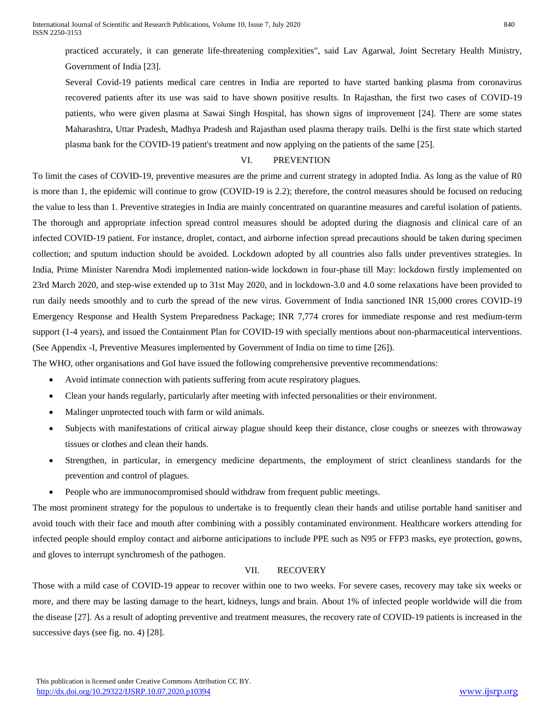practiced accurately, it can generate life-threatening complexities", said Lav Agarwal, Joint Secretary Health Ministry, Government of India [23].

Several Covid-19 patients medical care centres in India are reported to have started banking plasma from coronavirus recovered patients after its use was said to have shown positive results. In Rajasthan, the first two cases of COVID-19 patients, who were given plasma at Sawai Singh Hospital, has shown signs of improvement [24]. There are some states Maharashtra, Uttar Pradesh, Madhya Pradesh and Rajasthan used plasma therapy trails. Delhi is the first state which started plasma bank for the COVID-19 patient's treatment and now applying on the patients of the same [25].

## VI. PREVENTION

To limit the cases of COVID-19, preventive measures are the prime and current strategy in adopted India. As long as the value of R0 is more than 1, the epidemic will continue to grow (COVID-19 is 2.2); therefore, the control measures should be focused on reducing the value to less than 1. Preventive strategies in India are mainly concentrated on quarantine measures and careful isolation of patients. The thorough and appropriate infection spread control measures should be adopted during the diagnosis and clinical care of an infected COVID-19 patient. For instance, droplet, contact, and airborne infection spread precautions should be taken during specimen collection; and sputum induction should be avoided. Lockdown adopted by all countries also falls under preventives strategies. In India, Prime Minister Narendra Modi implemented nation-wide lockdown in four-phase till May: lockdown firstly implemented on 23rd March 2020, and step-wise extended up to 31st May 2020, and in lockdown-3.0 and 4.0 some relaxations have been provided to run daily needs smoothly and to curb the spread of the new virus. Government of India sanctioned INR 15,000 crores COVID-19 Emergency Response and Health System Preparedness Package; INR 7,774 crores for immediate response and rest medium-term support (1-4 years), and issued the Containment Plan for COVID-19 with specially mentions about non-pharmaceutical interventions. (See Appendix -I, Preventive Measures implemented by Government of India on time to time [26]).

The WHO, other organisations and GoI have issued the following comprehensive preventive recommendations:

- Avoid intimate connection with patients suffering from acute respiratory plagues.
- Clean your hands regularly, particularly after meeting with infected personalities or their environment.
- Malinger unprotected touch with farm or wild animals.
- Subjects with manifestations of critical airway plague should keep their distance, close coughs or sneezes with throwaway tissues or clothes and clean their hands.
- Strengthen, in particular, in emergency medicine departments, the employment of strict cleanliness standards for the prevention and control of plagues.
- People who are immunocompromised should withdraw from frequent public meetings.

The most prominent strategy for the populous to undertake is to frequently clean their hands and utilise portable hand sanitiser and avoid touch with their face and mouth after combining with a possibly contaminated environment. Healthcare workers attending for infected people should employ contact and airborne anticipations to include PPE such as N95 or FFP3 masks, eye protection, gowns, and gloves to interrupt synchromesh of the pathogen.

### VII. RECOVERY

Those with a mild case of COVID-19 appear to recover within one to two weeks. For severe cases, recovery may take six weeks or more, and there may be lasting damage to the heart, kidneys, lungs and brain. About 1% of infected people worldwide will die from the disease [27]. As a result of adopting preventive and treatment measures, the recovery rate of COVID-19 patients is increased in the successive days (see fig. no. 4) [28].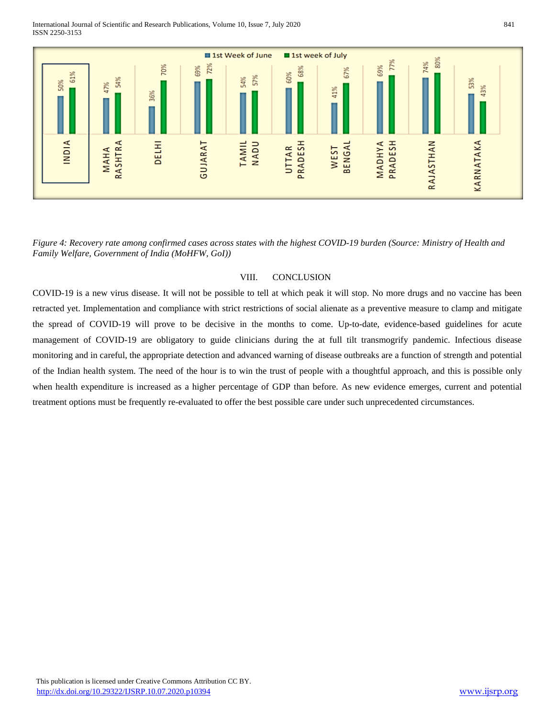International Journal of Scientific and Research Publications, Volume 10, Issue 7, July 2020 841 ISSN 2250-3153



*Figure 4: Recovery rate among confirmed cases across states with the highest COVID-19 burden (Source: Ministry of Health and Family Welfare, Government of India (MoHFW, GoI))*

#### VIII. CONCLUSION

COVID-19 is a new virus disease. It will not be possible to tell at which peak it will stop. No more drugs and no vaccine has been retracted yet. Implementation and compliance with strict restrictions of social alienate as a preventive measure to clamp and mitigate the spread of COVID-19 will prove to be decisive in the months to come. Up-to-date, evidence-based guidelines for acute management of COVID-19 are obligatory to guide clinicians during the at full tilt transmogrify pandemic. Infectious disease monitoring and in careful, the appropriate detection and advanced warning of disease outbreaks are a function of strength and potential of the Indian health system. The need of the hour is to win the trust of people with a thoughtful approach, and this is possible only when health expenditure is increased as a higher percentage of GDP than before. As new evidence emerges, current and potential treatment options must be frequently re-evaluated to offer the best possible care under such unprecedented circumstances.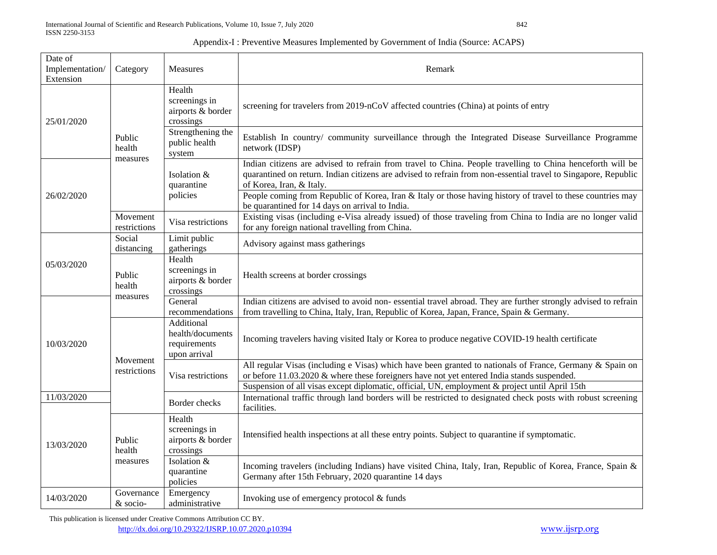Appendix-I : Preventive Measures Implemented by Government of India (Source: ACAPS)

| Date of<br>Implementation/<br>Extension | Category                     | <b>Measures</b>                                                | Remark                                                                                                                                                                                                                                                   |
|-----------------------------------------|------------------------------|----------------------------------------------------------------|----------------------------------------------------------------------------------------------------------------------------------------------------------------------------------------------------------------------------------------------------------|
| 25/01/2020                              | Public<br>health<br>measures | Health<br>screenings in<br>airports & border<br>crossings      | screening for travelers from 2019-nCoV affected countries (China) at points of entry                                                                                                                                                                     |
|                                         |                              | Strengthening the<br>public health<br>system                   | Establish In country/ community surveillance through the Integrated Disease Surveillance Programme<br>network (IDSP)                                                                                                                                     |
| 26/02/2020                              |                              | Isolation &<br>quarantine<br>policies                          | Indian citizens are advised to refrain from travel to China. People travelling to China henceforth will be<br>quarantined on return. Indian citizens are advised to refrain from non-essential travel to Singapore, Republic<br>of Korea, Iran, & Italy. |
|                                         |                              |                                                                | People coming from Republic of Korea, Iran & Italy or those having history of travel to these countries may<br>be quarantined for 14 days on arrival to India.                                                                                           |
|                                         | Movement<br>restrictions     | Visa restrictions                                              | Existing visas (including e-Visa already issued) of those traveling from China to India are no longer valid<br>for any foreign national travelling from China.                                                                                           |
| 05/03/2020                              | Social<br>distancing         | Limit public<br>gatherings                                     | Advisory against mass gatherings                                                                                                                                                                                                                         |
|                                         | Public<br>health             | Health<br>screenings in<br>airports & border<br>crossings      | Health screens at border crossings                                                                                                                                                                                                                       |
| 10/03/2020                              | measures                     | General<br>recommendations                                     | Indian citizens are advised to avoid non-essential travel abroad. They are further strongly advised to refrain<br>from travelling to China, Italy, Iran, Republic of Korea, Japan, France, Spain & Germany.                                              |
|                                         | Movement<br>restrictions     | Additional<br>health/documents<br>requirements<br>upon arrival | Incoming travelers having visited Italy or Korea to produce negative COVID-19 health certificate                                                                                                                                                         |
|                                         |                              | Visa restrictions                                              | All regular Visas (including e Visas) which have been granted to nationals of France, Germany & Spain on<br>or before 11.03.2020 & where these foreigners have not yet entered India stands suspended.                                                   |
| 11/03/2020                              |                              | Border checks                                                  | Suspension of all visas except diplomatic, official, UN, employment & project until April 15th<br>International traffic through land borders will be restricted to designated check posts with robust screening<br>facilities.                           |
| 13/03/2020                              | Public<br>health<br>measures | Health<br>screenings in<br>airports & border<br>crossings      | Intensified health inspections at all these entry points. Subject to quarantine if symptomatic.                                                                                                                                                          |
|                                         |                              | Isolation &<br>quarantine<br>policies                          | Incoming travelers (including Indians) have visited China, Italy, Iran, Republic of Korea, France, Spain &<br>Germany after 15th February, 2020 quarantine 14 days                                                                                       |
| 14/03/2020                              | Governance<br>& socio-       | Emergency<br>administrative                                    | Invoking use of emergency protocol & funds                                                                                                                                                                                                               |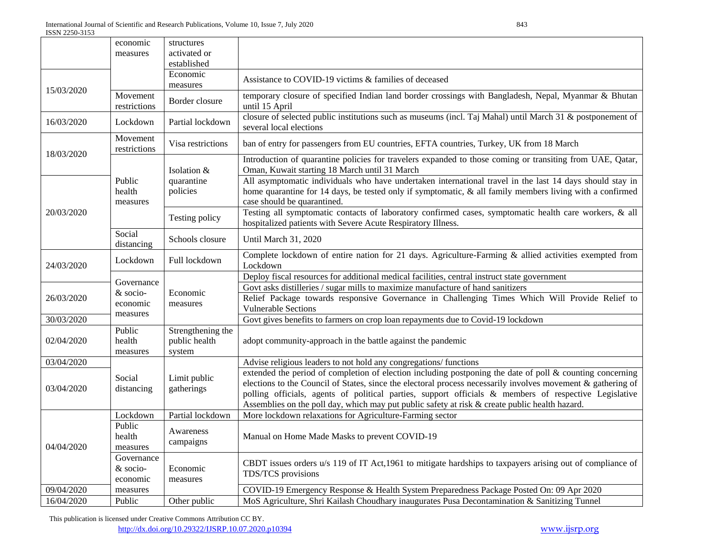|                          | economic<br>measures               | structures<br>activated or                   |                                                                                                                                                                                                                                                                                                                                                                                                                                      |
|--------------------------|------------------------------------|----------------------------------------------|--------------------------------------------------------------------------------------------------------------------------------------------------------------------------------------------------------------------------------------------------------------------------------------------------------------------------------------------------------------------------------------------------------------------------------------|
|                          |                                    | established                                  |                                                                                                                                                                                                                                                                                                                                                                                                                                      |
| 15/03/2020               |                                    | Economic<br>measures                         | Assistance to COVID-19 victims & families of deceased                                                                                                                                                                                                                                                                                                                                                                                |
|                          | Movement<br>restrictions           | Border closure                               | temporary closure of specified Indian land border crossings with Bangladesh, Nepal, Myanmar & Bhutan<br>until 15 April                                                                                                                                                                                                                                                                                                               |
| 16/03/2020               | Lockdown                           | Partial lockdown                             | closure of selected public institutions such as museums (incl. Taj Mahal) until March 31 & postponement of<br>several local elections                                                                                                                                                                                                                                                                                                |
| 18/03/2020               | Movement<br>restrictions           | Visa restrictions                            | ban of entry for passengers from EU countries, EFTA countries, Turkey, UK from 18 March                                                                                                                                                                                                                                                                                                                                              |
|                          |                                    | Isolation &                                  | Introduction of quarantine policies for travelers expanded to those coming or transiting from UAE, Qatar,<br>Oman, Kuwait starting 18 March until 31 March                                                                                                                                                                                                                                                                           |
|                          | Public<br>health<br>measures       | quarantine<br>policies                       | All asymptomatic individuals who have undertaken international travel in the last 14 days should stay in<br>home quarantine for 14 days, be tested only if symptomatic, $\&$ all family members living with a confirmed<br>case should be quarantined.                                                                                                                                                                               |
| 20/03/2020               |                                    | Testing policy                               | Testing all symptomatic contacts of laboratory confirmed cases, symptomatic health care workers, & all<br>hospitalized patients with Severe Acute Respiratory Illness.                                                                                                                                                                                                                                                               |
|                          | Social<br>distancing               | Schools closure                              | Until March 31, 2020                                                                                                                                                                                                                                                                                                                                                                                                                 |
| 24/03/2020               | Lockdown                           | Full lockdown                                | Complete lockdown of entire nation for 21 days. Agriculture-Farming & allied activities exempted from<br>Lockdown                                                                                                                                                                                                                                                                                                                    |
|                          | Governance                         |                                              | Deploy fiscal resources for additional medical facilities, central instruct state government                                                                                                                                                                                                                                                                                                                                         |
|                          | & socio-<br>economic               | Economic<br>measures                         | Govt asks distilleries / sugar mills to maximize manufacture of hand sanitizers                                                                                                                                                                                                                                                                                                                                                      |
| 26/03/2020               |                                    |                                              | Relief Package towards responsive Governance in Challenging Times Which Will Provide Relief to<br><b>Vulnerable Sections</b>                                                                                                                                                                                                                                                                                                         |
| 30/03/2020               | measures                           |                                              | Govt gives benefits to farmers on crop loan repayments due to Covid-19 lockdown                                                                                                                                                                                                                                                                                                                                                      |
| 02/04/2020               | Public                             |                                              |                                                                                                                                                                                                                                                                                                                                                                                                                                      |
|                          | health<br>measures                 | Strengthening the<br>public health<br>system | adopt community-approach in the battle against the pandemic                                                                                                                                                                                                                                                                                                                                                                          |
| 03/04/2020               |                                    |                                              | Advise religious leaders to not hold any congregations/ functions                                                                                                                                                                                                                                                                                                                                                                    |
| 03/04/2020               | Social<br>distancing               | Limit public<br>gatherings                   | extended the period of completion of election including postponing the date of poll & counting concerning<br>elections to the Council of States, since the electoral process necessarily involves movement & gathering of<br>polling officials, agents of political parties, support officials & members of respective Legislative<br>Assemblies on the poll day, which may put public safety at risk & create public health hazard. |
|                          | Lockdown                           | Partial lockdown                             | More lockdown relaxations for Agriculture-Farming sector                                                                                                                                                                                                                                                                                                                                                                             |
| 04/04/2020               | Public<br>health<br>measures       | Awareness<br>campaigns                       | Manual on Home Made Masks to prevent COVID-19                                                                                                                                                                                                                                                                                                                                                                                        |
|                          | Governance<br>& socio-<br>economic | Economic<br>measures                         | CBDT issues orders u/s 119 of IT Act, 1961 to mitigate hardships to taxpayers arising out of compliance of<br>TDS/TCS provisions                                                                                                                                                                                                                                                                                                     |
| 09/04/2020<br>16/04/2020 | measures<br>Public                 | Other public                                 | COVID-19 Emergency Response & Health System Preparedness Package Posted On: 09 Apr 2020<br>MoS Agriculture, Shri Kailash Choudhary inaugurates Pusa Decontamination & Sanitizing Tunnel                                                                                                                                                                                                                                              |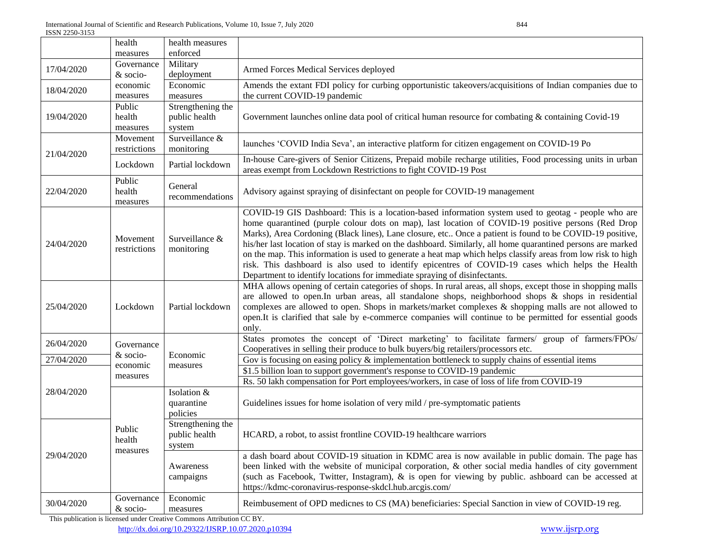|            | health                             | health measures                              |                                                                                                                                                                                                                                                                                                                                                                                                                                                                                                                                                                                                                                                                                                                                         |
|------------|------------------------------------|----------------------------------------------|-----------------------------------------------------------------------------------------------------------------------------------------------------------------------------------------------------------------------------------------------------------------------------------------------------------------------------------------------------------------------------------------------------------------------------------------------------------------------------------------------------------------------------------------------------------------------------------------------------------------------------------------------------------------------------------------------------------------------------------------|
| 17/04/2020 | measures<br>Governance<br>& socio- | enforced<br>Military<br>deployment           | Armed Forces Medical Services deployed                                                                                                                                                                                                                                                                                                                                                                                                                                                                                                                                                                                                                                                                                                  |
| 18/04/2020 | economic<br>measures               | Economic<br>measures                         | Amends the extant FDI policy for curbing opportunistic takeovers/acquisitions of Indian companies due to<br>the current COVID-19 pandemic                                                                                                                                                                                                                                                                                                                                                                                                                                                                                                                                                                                               |
| 19/04/2020 | Public<br>health<br>measures       | Strengthening the<br>public health<br>system | Government launches online data pool of critical human resource for combating $&$ containing Covid-19                                                                                                                                                                                                                                                                                                                                                                                                                                                                                                                                                                                                                                   |
| 21/04/2020 | Movement<br>restrictions           | Surveillance &<br>monitoring                 | launches 'COVID India Seva', an interactive platform for citizen engagement on COVID-19 Po                                                                                                                                                                                                                                                                                                                                                                                                                                                                                                                                                                                                                                              |
|            | Lockdown                           | Partial lockdown                             | In-house Care-givers of Senior Citizens, Prepaid mobile recharge utilities, Food processing units in urban<br>areas exempt from Lockdown Restrictions to fight COVID-19 Post                                                                                                                                                                                                                                                                                                                                                                                                                                                                                                                                                            |
| 22/04/2020 | Public<br>health<br>measures       | General<br>recommendations                   | Advisory against spraying of disinfectant on people for COVID-19 management                                                                                                                                                                                                                                                                                                                                                                                                                                                                                                                                                                                                                                                             |
| 24/04/2020 | Movement<br>restrictions           | Surveillance &<br>monitoring                 | COVID-19 GIS Dashboard: This is a location-based information system used to geotag - people who are<br>home quarantined (purple colour dots on map), last location of COVID-19 positive persons (Red Drop<br>Marks), Area Cordoning (Black lines), Lane closure, etc Once a patient is found to be COVID-19 positive,<br>his/her last location of stay is marked on the dashboard. Similarly, all home quarantined persons are marked<br>on the map. This information is used to generate a heat map which helps classify areas from low risk to high<br>risk. This dashboard is also used to identify epicentres of COVID-19 cases which helps the Health<br>Department to identify locations for immediate spraying of disinfectants. |
| 25/04/2020 | Lockdown                           | Partial lockdown                             | MHA allows opening of certain categories of shops. In rural areas, all shops, except those in shopping malls<br>are allowed to open. In urban areas, all standalone shops, neighborhood shops & shops in residential<br>complexes are allowed to open. Shops in markets/market complexes & shopping malls are not allowed to<br>open.It is clarified that sale by e-commerce companies will continue to be permitted for essential goods<br>only.                                                                                                                                                                                                                                                                                       |
| 26/04/2020 | Governance<br>& socio-             | Economic<br>measures                         | States promotes the concept of 'Direct marketing' to facilitate farmers/ group of farmers/FPOs/<br>Cooperatives in selling their produce to bulk buyers/big retailers/processors etc.                                                                                                                                                                                                                                                                                                                                                                                                                                                                                                                                                   |
| 27/04/2020 | economic                           |                                              | Gov is focusing on easing policy $\&$ implementation bottleneck to supply chains of essential items                                                                                                                                                                                                                                                                                                                                                                                                                                                                                                                                                                                                                                     |
|            | measures                           |                                              | \$1.5 billion loan to support government's response to COVID-19 pandemic<br>Rs. 50 lakh compensation for Port employees/workers, in case of loss of life from COVID-19                                                                                                                                                                                                                                                                                                                                                                                                                                                                                                                                                                  |
| 28/04/2020 |                                    | Isolation &<br>quarantine<br>policies        | Guidelines issues for home isolation of very mild / pre-symptomatic patients                                                                                                                                                                                                                                                                                                                                                                                                                                                                                                                                                                                                                                                            |
| 29/04/2020 | Public<br>health<br>measures       | Strengthening the<br>public health<br>system | HCARD, a robot, to assist frontline COVID-19 healthcare warriors                                                                                                                                                                                                                                                                                                                                                                                                                                                                                                                                                                                                                                                                        |
|            |                                    | Awareness<br>campaigns                       | a dash board about COVID-19 situation in KDMC area is now available in public domain. The page has<br>been linked with the website of municipal corporation, & other social media handles of city government<br>(such as Facebook, Twitter, Instagram), & is open for viewing by public. ashboard can be accessed at<br>https://kdmc-coronavirus-response-skdcl.hub.arcgis.com/                                                                                                                                                                                                                                                                                                                                                         |
| 30/04/2020 | Governance<br>& socio-             | Economic<br>measures                         | Reimbusement of OPD medicnes to CS (MA) beneficiaries: Special Sanction in view of COVID-19 reg.                                                                                                                                                                                                                                                                                                                                                                                                                                                                                                                                                                                                                                        |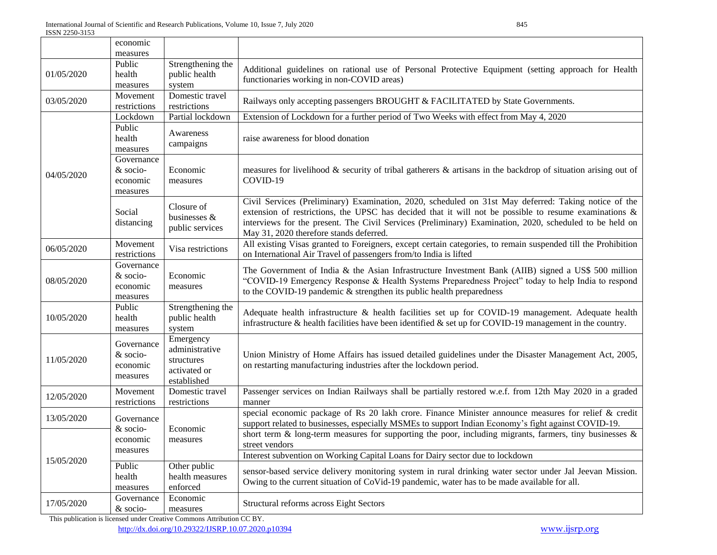|            | economic<br>measures                           |                                                                          |                                                                                                                                                                                                                                                                                                                                                                        |
|------------|------------------------------------------------|--------------------------------------------------------------------------|------------------------------------------------------------------------------------------------------------------------------------------------------------------------------------------------------------------------------------------------------------------------------------------------------------------------------------------------------------------------|
| 01/05/2020 | Public<br>health<br>measures                   | Strengthening the<br>public health<br>system                             | Additional guidelines on rational use of Personal Protective Equipment (setting approach for Health<br>functionaries working in non-COVID areas)                                                                                                                                                                                                                       |
| 03/05/2020 | Movement<br>restrictions                       | Domestic travel<br>restrictions                                          | Railways only accepting passengers BROUGHT & FACILITATED by State Governments.                                                                                                                                                                                                                                                                                         |
| 04/05/2020 | Lockdown                                       | Partial lockdown                                                         | Extension of Lockdown for a further period of Two Weeks with effect from May 4, 2020                                                                                                                                                                                                                                                                                   |
|            | Public<br>health<br>measures                   | Awareness<br>campaigns                                                   | raise awareness for blood donation                                                                                                                                                                                                                                                                                                                                     |
|            | Governance<br>& socio-<br>economic<br>measures | Economic<br>measures                                                     | measures for livelihood & security of tribal gatherers & artisans in the backdrop of situation arising out of<br>COVID-19                                                                                                                                                                                                                                              |
|            | Social<br>distancing                           | Closure of<br>businesses &<br>public services                            | Civil Services (Preliminary) Examination, 2020, scheduled on 31st May deferred: Taking notice of the<br>extension of restrictions, the UPSC has decided that it will not be possible to resume examinations $\&$<br>interviews for the present. The Civil Services (Preliminary) Examination, 2020, scheduled to be held on<br>May 31, 2020 therefore stands deferred. |
| 06/05/2020 | Movement<br>restrictions                       | Visa restrictions                                                        | All existing Visas granted to Foreigners, except certain categories, to remain suspended till the Prohibition<br>on International Air Travel of passengers from/to India is lifted                                                                                                                                                                                     |
| 08/05/2020 | Governance<br>& socio-<br>economic<br>measures | Economic<br>measures                                                     | The Government of India & the Asian Infrastructure Investment Bank (AIIB) signed a US\$ 500 million<br>"COVID-19 Emergency Response & Health Systems Preparedness Project" today to help India to respond<br>to the COVID-19 pandemic & strengthen its public health preparedness                                                                                      |
| 10/05/2020 | Public<br>health<br>measures                   | Strengthening the<br>public health<br>system                             | Adequate health infrastructure & health facilities set up for COVID-19 management. Adequate health<br>infrastructure $\&$ health facilities have been identified $\&$ set up for COVID-19 management in the country.                                                                                                                                                   |
| 11/05/2020 | Governance<br>& socio-<br>economic<br>measures | Emergency<br>administrative<br>structures<br>activated or<br>established | Union Ministry of Home Affairs has issued detailed guidelines under the Disaster Management Act, 2005,<br>on restarting manufacturing industries after the lockdown period.                                                                                                                                                                                            |
| 12/05/2020 | Movement<br>restrictions                       | Domestic travel<br>restrictions                                          | Passenger services on Indian Railways shall be partially restored w.e.f. from 12th May 2020 in a graded<br>manner                                                                                                                                                                                                                                                      |
| 13/05/2020 | Governance                                     | Economic<br>measures                                                     | special economic package of Rs 20 lakh crore. Finance Minister announce measures for relief & credit<br>support related to businesses, especially MSMEs to support Indian Economy's fight against COVID-19.                                                                                                                                                            |
| 15/05/2020 | & socio-<br>economic<br>measures               |                                                                          | short term $\&$ long-term measures for supporting the poor, including migrants, farmers, tiny businesses $\&$<br>street vendors<br>Interest subvention on Working Capital Loans for Dairy sector due to lockdown                                                                                                                                                       |
|            | Public<br>health<br>measures                   | Other public<br>health measures<br>enforced                              | sensor-based service delivery monitoring system in rural drinking water sector under Jal Jeevan Mission.<br>Owing to the current situation of CoVid-19 pandemic, water has to be made available for all.                                                                                                                                                               |
| 17/05/2020 | Governance<br>& socio-                         | Economic<br>measures                                                     | Structural reforms across Eight Sectors                                                                                                                                                                                                                                                                                                                                |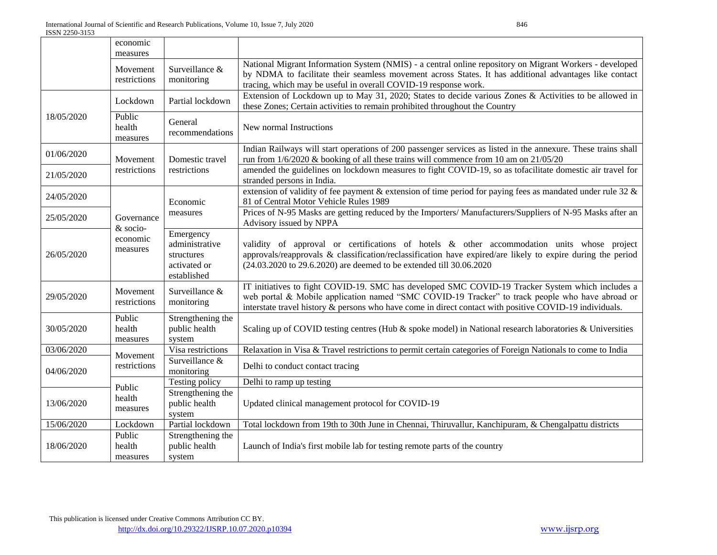|            | economic<br>measures                           |                                                                          |                                                                                                                                                                                                                                                                                                                |
|------------|------------------------------------------------|--------------------------------------------------------------------------|----------------------------------------------------------------------------------------------------------------------------------------------------------------------------------------------------------------------------------------------------------------------------------------------------------------|
|            | Movement<br>restrictions                       | Surveillance &<br>monitoring                                             | National Migrant Information System (NMIS) - a central online repository on Migrant Workers - developed<br>by NDMA to facilitate their seamless movement across States. It has additional advantages like contact<br>tracing, which may be useful in overall COVID-19 response work.                           |
| 18/05/2020 | Lockdown                                       | Partial lockdown                                                         | Extension of Lockdown up to May 31, 2020; States to decide various Zones & Activities to be allowed in<br>these Zones; Certain activities to remain prohibited throughout the Country                                                                                                                          |
|            | Public<br>health<br>measures                   | General<br>recommendations                                               | New normal Instructions                                                                                                                                                                                                                                                                                        |
| 01/06/2020 | Movement<br>restrictions                       | Domestic travel<br>restrictions                                          | Indian Railways will start operations of 200 passenger services as listed in the annexure. These trains shall<br>run from 1/6/2020 & booking of all these trains will commence from 10 am on 21/05/20                                                                                                          |
| 21/05/2020 |                                                |                                                                          | amended the guidelines on lockdown measures to fight COVID-19, so as to facilitate domestic air travel for<br>stranded persons in India.                                                                                                                                                                       |
| 24/05/2020 |                                                | Economic<br>measures                                                     | extension of validity of fee payment & extension of time period for paying fees as mandated under rule 32 $\&$<br>81 of Central Motor Vehicle Rules 1989                                                                                                                                                       |
| 25/05/2020 | Governance<br>& socio-<br>economic<br>measures |                                                                          | Prices of N-95 Masks are getting reduced by the Importers/Manufacturers/Suppliers of N-95 Masks after an<br>Advisory issued by NPPA                                                                                                                                                                            |
| 26/05/2020 |                                                | Emergency<br>administrative<br>structures<br>activated or<br>established | validity of approval or certifications of hotels & other accommodation units whose project<br>approvals/reapprovals & classification/reclassification have expired/are likely to expire during the period<br>(24.03.2020 to 29.6.2020) are deemed to be extended till 30.06.2020                               |
| 29/05/2020 | Movement<br>restrictions                       | Surveillance &<br>monitoring                                             | IT initiatives to fight COVID-19. SMC has developed SMC COVID-19 Tracker System which includes a<br>web portal & Mobile application named "SMC COVID-19 Tracker" to track people who have abroad or<br>interstate travel history & persons who have come in direct contact with positive COVID-19 individuals. |
| 30/05/2020 | Public<br>health<br>measures                   | Strengthening the<br>public health<br>system                             | Scaling up of COVID testing centres (Hub & spoke model) in National research laboratories & Universities                                                                                                                                                                                                       |
| 03/06/2020 | Movement                                       | Visa restrictions                                                        | Relaxation in Visa & Travel restrictions to permit certain categories of Foreign Nationals to come to India                                                                                                                                                                                                    |
| 04/06/2020 | restrictions                                   | Surveillance &<br>monitoring                                             | Delhi to conduct contact tracing                                                                                                                                                                                                                                                                               |
|            | Public                                         | Testing policy                                                           | Delhi to ramp up testing                                                                                                                                                                                                                                                                                       |
| 13/06/2020 | health<br>measures                             | Strengthening the<br>public health<br>system                             | Updated clinical management protocol for COVID-19                                                                                                                                                                                                                                                              |
| 15/06/2020 | Lockdown                                       | Partial lockdown                                                         | Total lockdown from 19th to 30th June in Chennai, Thiruvallur, Kanchipuram, & Chengalpattu districts                                                                                                                                                                                                           |
| 18/06/2020 | Public<br>health<br>measures                   | Strengthening the<br>public health<br>system                             | Launch of India's first mobile lab for testing remote parts of the country                                                                                                                                                                                                                                     |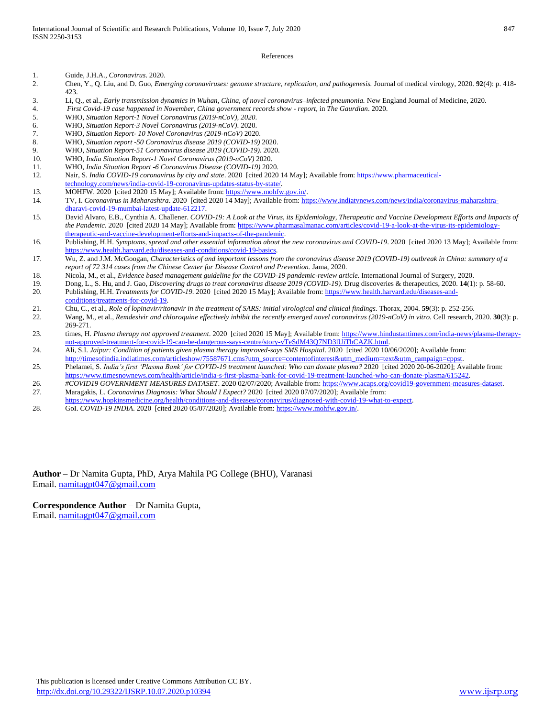#### References

- 1. Guide, J.H.A., *Coronavirus*. 2020.
- 2. Chen, Y., Q. Liu, and D. Guo, *Emerging coronaviruses: genome structure, replication, and pathogenesis.* Journal of medical virology, 2020. **92**(4): p. 418- 423.
- 3. Li, Q., et al., *Early transmission dynamics in Wuhan, China, of novel coronavirus–infected pneumonia.* New England Journal of Medicine, 2020.
- 4. *First Covid-19 case happened in November, China government records show - report*, in *The Gaurdian*. 2020.
- 5. WHO, *Situation Report-1 Novel Coronavirus (2019-nCoV), 2020*.
- 6. WHO, *Situation Report-3 Novel Coronavirus (2019-nCoV)*. 2020.
- 7. WHO, *Situation Report- 10 Novel Coronavirus (2019-nCoV)* 2020.
- 8. WHO, *Situation report -50 Coronavirus disease 2019 (COVID-19)* 2020.
- 9. WHO, *Situation Report-51 Coronavirus disease 2019 (COVID-19)*. 2020.
- 10. WHO, *India Situation Report-1 Novel Coronavirus (2019-nCoV)* 2020.
- 11. WHO, *India Situation Report -6 Coronavirus Disease (COVID-19)* 2020. 12. Nair, S. *India COVID-19 coronavirus by city and state*. 2020 [cited 2020 14 May]; Available from: [https://www.pharmaceutical](https://www.pharmaceutical-technology.com/news/india-covid-19-coronavirus-updates-status-by-state/)[technology.com/news/india-covid-19-coronavirus-updates-status-by-state/.](https://www.pharmaceutical-technology.com/news/india-covid-19-coronavirus-updates-status-by-state/)
- 13. MOHFW. 2020 [cited 2020 15 May]; Available from[: https://www.mohfw.gov.in/.](https://www.mohfw.gov.in/)
- 14. TV, I. *Coronavirus in Maharashtra*. 2020 [cited 2020 14 May]; Available from: [https://www.indiatvnews.com/news/india/coronavirus-maharashtra](https://www.indiatvnews.com/news/india/coronavirus-maharashtra-dharavi-covid-19-mumbai-latest-update-612217)[dharavi-covid-19-mumbai-latest-update-612217.](https://www.indiatvnews.com/news/india/coronavirus-maharashtra-dharavi-covid-19-mumbai-latest-update-612217)
- 15. David Alvaro, E.B., Cynthia A. Challener. *COVID-19: A Look at the Virus, its Epidemiology, Therapeutic and Vaccine Development Efforts and Impacts of the Pandemic*. 2020 [cited 2020 14 May]; Available from[: https://www.pharmasalmanac.com/articles/covid-19-a-look-at-the-virus-its-epidemiology](https://www.pharmasalmanac.com/articles/covid-19-a-look-at-the-virus-its-epidemiology-therapeutic-and-vaccine-development-efforts-and-impacts-of-the-pandemic)[therapeutic-and-vaccine-development-efforts-and-impacts-of-the-pandemic.](https://www.pharmasalmanac.com/articles/covid-19-a-look-at-the-virus-its-epidemiology-therapeutic-and-vaccine-development-efforts-and-impacts-of-the-pandemic)
- 16. Publishing, H.H. *Symptoms, spread and other essential information about the new coronavirus and COVID-19*. 2020 [cited 2020 13 May]; Available from: [https://www.health.harvard.edu/diseases-and-conditions/covid-19-basics.](https://www.health.harvard.edu/diseases-and-conditions/covid-19-basics)
- 17. Wu, Z. and J.M. McGoogan, *Characteristics of and important lessons from the coronavirus disease 2019 (COVID-19) outbreak in China: summary of a report of 72 314 cases from the Chinese Center for Disease Control and Prevention.* Jama, 2020.
- 18. Nicola, M., et al., *Evidence based management guideline for the COVID-19 pandemic-review article.* International Journal of Surgery, 2020.
- 19. Dong, L., S. Hu, and J. Gao, *Discovering drugs to treat coronavirus disease 2019 (COVID-19).* Drug discoveries & therapeutics, 2020. **14**(1): p. 58-60. 20. Publishing, H.H. *Treatments for COVID-19*. 2020 [cited 2020 15 May]; Available from: [https://www.health.harvard.edu/diseases-and-](https://www.health.harvard.edu/diseases-and-conditions/treatments-for-covid-19)
- [conditions/treatments-for-covid-19.](https://www.health.harvard.edu/diseases-and-conditions/treatments-for-covid-19)
- 21. Chu, C., et al., *Role of lopinavir/ritonavir in the treatment of SARS: initial virological and clinical findings.* Thorax, 2004. **59**(3): p. 252-256.
- 22. Wang, M., et al., *Remdesivir and chloroquine effectively inhibit the recently emerged novel coronavirus (2019-nCoV) in vitro.* Cell research, 2020. **30**(3): p. 269-271.
- 23. times, H. *Plasma therapy not approved treatment*. 2020 [cited 2020 15 May]; Available from[: https://www.hindustantimes.com/india-news/plasma-therapy](https://www.hindustantimes.com/india-news/plasma-therapy-not-approved-treatment-for-covid-19-can-be-dangerous-says-centre/story-vTeSdM43Q7ND3lUiThCAZK.html)[not-approved-treatment-for-covid-19-can-be-dangerous-says-centre/story-vTeSdM43Q7ND3lUiThCAZK.html.](https://www.hindustantimes.com/india-news/plasma-therapy-not-approved-treatment-for-covid-19-can-be-dangerous-says-centre/story-vTeSdM43Q7ND3lUiThCAZK.html)
- 24. Ali, S.I. *Jaipur: Condition of patients given plasma therapy improved-says SMS Hospital*. 2020 [cited 2020 10/06/2020]; Available from: [http://timesofindia.indiatimes.com/articleshow/75587671.cms?utm\\_source=contentofinterest&utm\\_medium=text&utm\\_campaign=cppst.](http://timesofindia.indiatimes.com/articleshow/75587671.cms?utm_source=contentofinterest&utm_medium=text&utm_campaign=cppst)
- 25. Phelamei, S. *India's first 'Plasma Bank' for COVID-19 treatment launched: Who can donate plasma?* 2020 [cited 2020 20-06-2020]; Available from: [https://www.timesnownews.com/health/article/india-s-first-plasma-bank-for-covid-19-treatment-launched-who-can-donate-plasma/615242.](https://www.timesnownews.com/health/article/india-s-first-plasma-bank-for-covid-19-treatment-launched-who-can-donate-plasma/615242)
- 26. *#COVID19 GOVERNMENT MEASURES DATASET*. 2020 02/07/2020; Available from[: https://www.acaps.org/covid19-government-measures-dataset.](https://www.acaps.org/covid19-government-measures-dataset) 27. Maragakis, L. *Coronavirus Diagnosis: What Should I Expect?* 2020 [cited 2020 07/07/2020]; Available from:
- [https://www.hopkinsmedicine.org/health/conditions-and-diseases/coronavirus/diagnosed-with-covid-19-what-to-expect.](https://www.hopkinsmedicine.org/health/conditions-and-diseases/coronavirus/diagnosed-with-covid-19-what-to-expect)
- 28. GoI. *COVID-19 INDIA*. 2020 [cited 2020 05/07/2020]; Available from[: https://www.mohfw.gov.in/.](https://www.mohfw.gov.in/)

**Author** – Dr Namita Gupta, PhD, Arya Mahila PG College (BHU), Varanasi Email. [namitagpt047@gmail.com](mailto:namitagpt047@gmail.com)

**Correspondence Author** – Dr Namita Gupta, Email. [namitagpt047@gmail.com](mailto:namitagpt047@gmail.com)